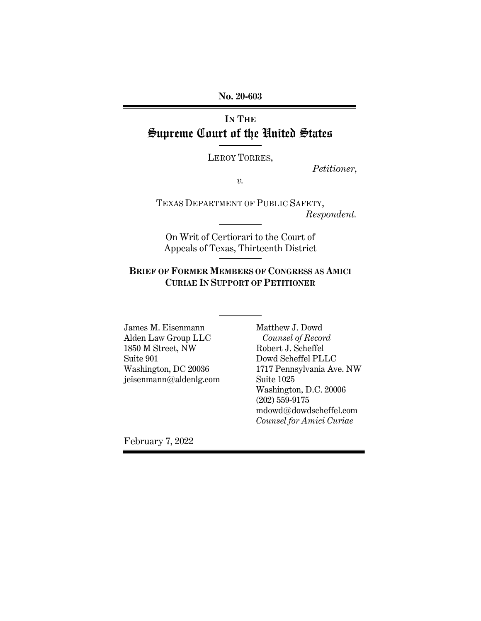**No. 20-603**

# **IN THE** Supreme Court of the United States

LEROY TORRES,

*Petitioner*,

*v.*

TEXAS DEPARTMENT OF PUBLIC SAFETY, *Respondent.*

On Writ of Certiorari to the Court of Appeals of Texas, Thirteenth District

### **BRIEF OF FORMER MEMBERS OF CONGRESS AS AMICI CURIAE IN SUPPORT OF PETITIONER**

James M. Eisenmann Alden Law Group LLC 1850 M Street, NW Suite 901 Washington, DC 20036 jeisenmann@aldenlg.com Matthew J. Dowd  *Counsel of Record* Robert J. Scheffel Dowd Scheffel PLLC 1717 Pennsylvania Ave. NW Suite 1025 Washington, D.C. 20006 (202) 559-9175 mdowd@dowdscheffel.com *Counsel for Amici Curiae*

February 7, 2022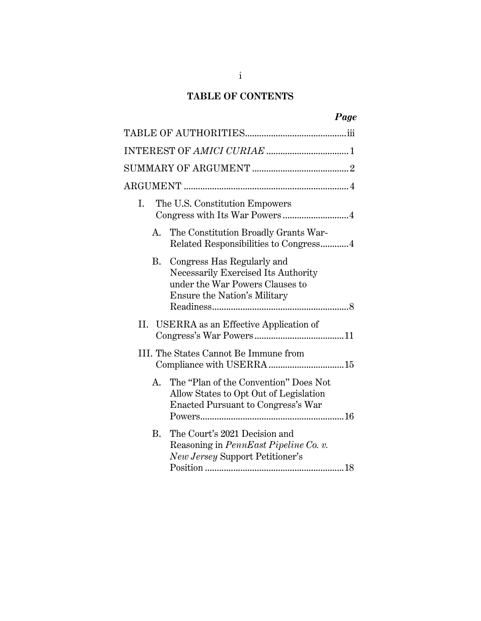## **TABLE OF CONTENTS**

|    | Page                                                                                                                                 |
|----|--------------------------------------------------------------------------------------------------------------------------------------|
|    |                                                                                                                                      |
|    |                                                                                                                                      |
|    |                                                                                                                                      |
|    |                                                                                                                                      |
| I. | The U.S. Constitution Empowers<br>Congress with Its War Powers4                                                                      |
| А. | The Constitution Broadly Grants War-<br>Related Responsibilities to Congress4                                                        |
| B. | Congress Has Regularly and<br>Necessarily Exercised Its Authority<br>under the War Powers Clauses to<br>Ensure the Nation's Military |
| П. | USERRA as an Effective Application of                                                                                                |
|    | III. The States Cannot Be Immune from                                                                                                |
| A. | The "Plan of the Convention" Does Not<br>Allow States to Opt Out of Legislation<br>Enacted Pursuant to Congress's War                |
| B. | The Court's 2021 Decision and<br>Reasoning in PennEast Pipeline Co. v.<br>New Jersey Support Petitioner's                            |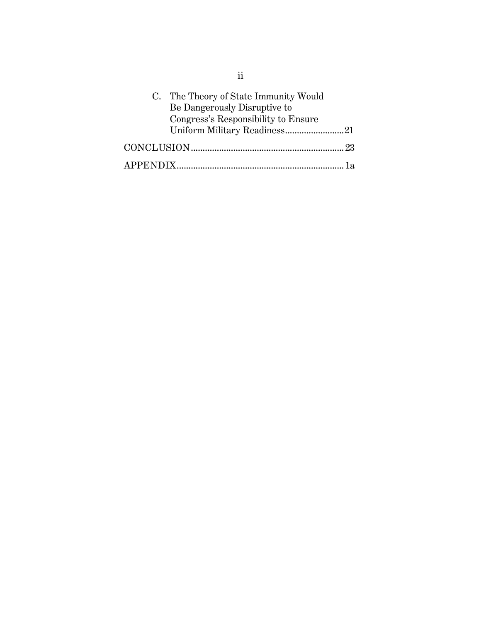| C. The Theory of State Immunity Would |  |
|---------------------------------------|--|
| Be Dangerously Disruptive to          |  |
| Congress's Responsibility to Ensure   |  |
| Uniform Military Readiness21          |  |
|                                       |  |
|                                       |  |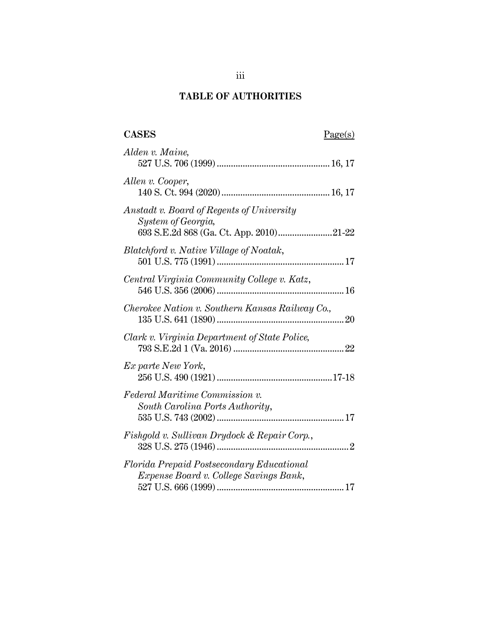## **TABLE OF AUTHORITIES**

# CASES Page(s)

| Alden v. Maine,                                                                                            |
|------------------------------------------------------------------------------------------------------------|
| Allen v. Cooper,                                                                                           |
| Anstadt v. Board of Regents of University<br>System of Georgia,<br>693 S.E.2d 868 (Ga. Ct. App. 2010)21-22 |
| Blatchford v. Native Village of Noatak,                                                                    |
| Central Virginia Community College v. Katz,                                                                |
| Cherokee Nation v. Southern Kansas Railway Co.,                                                            |
| Clark v. Virginia Department of State Police,                                                              |
| Ex parte New York,                                                                                         |
| Federal Maritime Commission v.<br>South Carolina Ports Authority,                                          |
| Fishgold v. Sullivan Drydock & Repair Corp.,                                                               |
| Florida Prepaid Postsecondary Educational<br>Expense Board v. College Savings Bank,                        |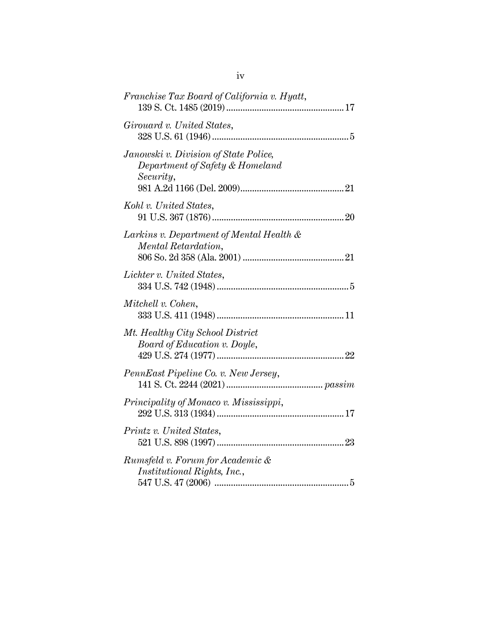| Franchise Tax Board of California v. Hyatt,                                           |  |
|---------------------------------------------------------------------------------------|--|
| Girouard v. United States,                                                            |  |
| Janowski v. Division of State Police,<br>Department of Safety & Homeland<br>Security, |  |
| Kohl v. United States,                                                                |  |
| Larkins v. Department of Mental Health &<br>Mental Retardation,                       |  |
| Lichter v. United States,                                                             |  |
| Mitchell v. Cohen,                                                                    |  |
| Mt. Healthy City School District<br>Board of Education v. Doyle,                      |  |
| PennEast Pipeline Co. v. New Jersey,                                                  |  |
| Principality of Monaco v. Mississippi,                                                |  |
| Printz v. United States,                                                              |  |
| Rumsfeld v. Forum for Academic &<br>Institutional Rights, Inc.,                       |  |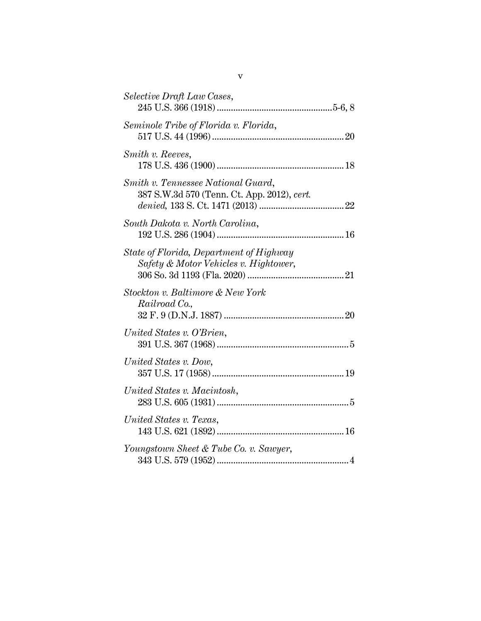| Selective Draft Law Cases,                                                        |  |
|-----------------------------------------------------------------------------------|--|
| Seminole Tribe of Florida v. Florida,                                             |  |
| Smith v. Reeves,                                                                  |  |
| Smith v. Tennessee National Guard,<br>387 S.W.3d 570 (Tenn. Ct. App. 2012), cert. |  |
| South Dakota v. North Carolina,                                                   |  |
| State of Florida, Department of Highway<br>Safety & Motor Vehicles v. Hightower,  |  |
| Stockton v. Baltimore & New York<br>Railroad Co.,                                 |  |
| United States v. O'Brien,                                                         |  |
| United States v. Dow,                                                             |  |
| United States v. Macintosh,                                                       |  |
| United States v. Texas,                                                           |  |
| Youngstown Sheet & Tube Co. v. Sawyer,                                            |  |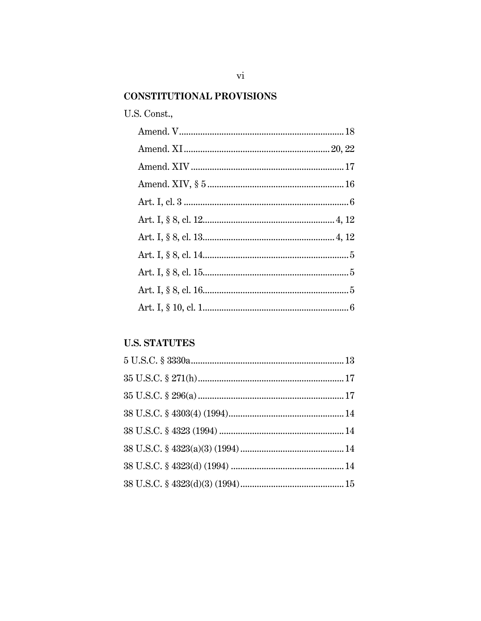## **CONSTITUTIONAL PROVISIONS**

## U.S. Const.,

# **U.S. STATUTES**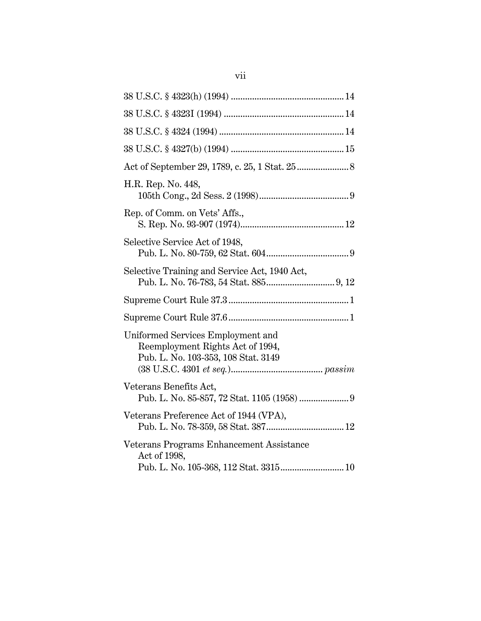| H.R. Rep. No. 448,                                                                                           |
|--------------------------------------------------------------------------------------------------------------|
| Rep. of Comm. on Vets' Affs.,                                                                                |
| Selective Service Act of 1948,                                                                               |
| Selective Training and Service Act, 1940 Act,                                                                |
|                                                                                                              |
|                                                                                                              |
| Uniformed Services Employment and<br>Reemployment Rights Act of 1994,<br>Pub. L. No. 103-353, 108 Stat. 3149 |
| Veterans Benefits Act,                                                                                       |
| Veterans Preference Act of 1944 (VPA),                                                                       |
| Veterans Programs Enhancement Assistance<br>Act of 1998,<br>Pub. L. No. 105-368, 112 Stat. 3315 10           |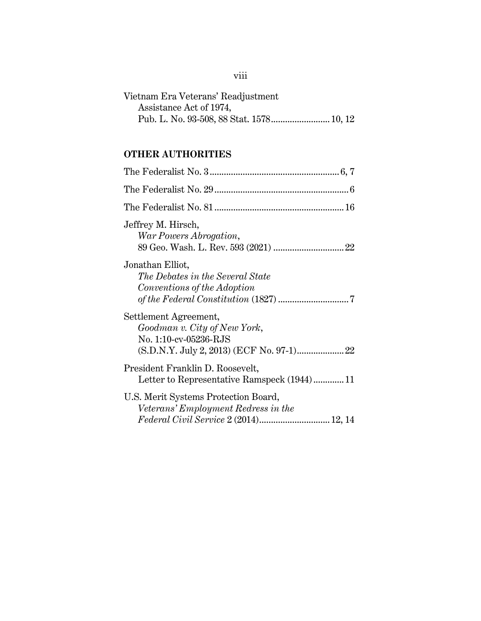| Vietnam Era Veterans' Readjustment |  |
|------------------------------------|--|
| Assistance Act of 1974,            |  |
|                                    |  |

# **OTHER AUTHORITIES**

| Jeffrey M. Hirsch,<br>War Powers Abrogation,                                                                         |
|----------------------------------------------------------------------------------------------------------------------|
| Jonathan Elliot,<br>The Debates in the Several State<br>Conventions of the Adoption                                  |
| Settlement Agreement,<br>Goodman v. City of New York,<br>No. 1:10-cv-05236-RJS                                       |
| President Franklin D. Roosevelt,<br>Letter to Representative Ramspeck (1944)11                                       |
| U.S. Merit Systems Protection Board,<br>Veterans' Employment Redress in the<br>Federal Civil Service 2 (2014) 12, 14 |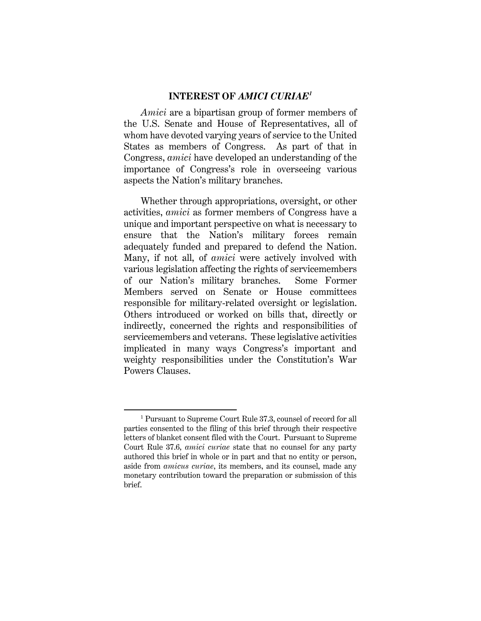#### **INTEREST OF** *AMICI CURIAE<sup>1</sup>*

*Amici* are a bipartisan group of former members of the U.S. Senate and House of Representatives, all of whom have devoted varying years of service to the United States as members of Congress. As part of that in Congress, *amici* have developed an understanding of the importance of Congress's role in overseeing various aspects the Nation's military branches.

Whether through appropriations, oversight, or other activities, *amici* as former members of Congress have a unique and important perspective on what is necessary to ensure that the Nation's military forces remain adequately funded and prepared to defend the Nation. Many, if not all, of *amici* were actively involved with various legislation affecting the rights of servicemembers of our Nation's military branches. Some Former Members served on Senate or House committees responsible for military-related oversight or legislation. Others introduced or worked on bills that, directly or indirectly, concerned the rights and responsibilities of servicemembers and veterans. These legislative activities implicated in many ways Congress's important and weighty responsibilities under the Constitution's War Powers Clauses.

<sup>1</sup> Pursuant to Supreme Court Rule 37.3, counsel of record for all parties consented to the filing of this brief through their respective letters of blanket consent filed with the Court. Pursuant to Supreme Court Rule 37.6, *amici curiae* state that no counsel for any party authored this brief in whole or in part and that no entity or person, aside from *amicus curiae*, its members, and its counsel, made any monetary contribution toward the preparation or submission of this brief.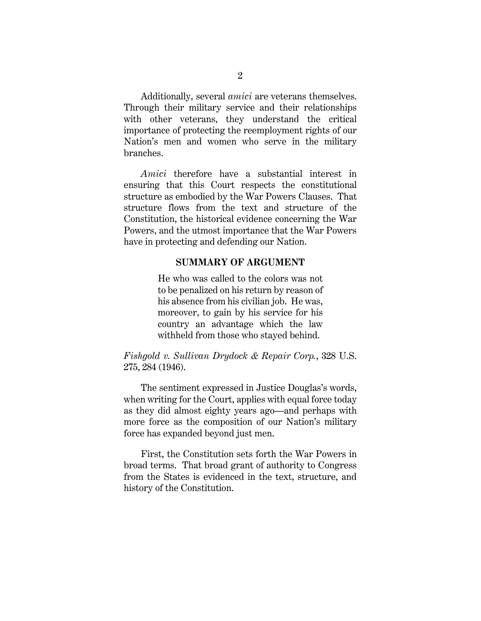Additionally, several *amici* are veterans themselves. Through their military service and their relationships with other veterans, they understand the critical importance of protecting the reemployment rights of our Nation's men and women who serve in the military branches.

*Amici* therefore have a substantial interest in ensuring that this Court respects the constitutional structure as embodied by the War Powers Clauses. That structure flows from the text and structure of the Constitution, the historical evidence concerning the War Powers, and the utmost importance that the War Powers have in protecting and defending our Nation.

#### **SUMMARY OF ARGUMENT**

He who was called to the colors was not to be penalized on his return by reason of his absence from his civilian job. He was, moreover, to gain by his service for his country an advantage which the law withheld from those who stayed behind.

*Fishgold v. Sullivan Drydock & Repair Corp.*, 328 U.S. 275, 284 (1946).

The sentiment expressed in Justice Douglas's words, when writing for the Court, applies with equal force today as they did almost eighty years ago—and perhaps with more force as the composition of our Nation's military force has expanded beyond just men.

First, the Constitution sets forth the War Powers in broad terms. That broad grant of authority to Congress from the States is evidenced in the text, structure, and history of the Constitution.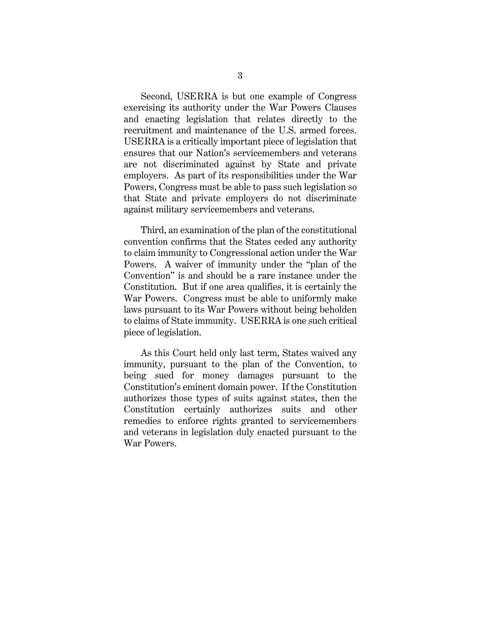Second, USERRA is but one example of Congress exercising its authority under the War Powers Clauses and enacting legislation that relates directly to the recruitment and maintenance of the U.S. armed forces. USERRA is a critically important piece of legislation that ensures that our Nation's servicemembers and veterans are not discriminated against by State and private employers. As part of its responsibilities under the War Powers, Congress must be able to pass such legislation so that State and private employers do not discriminate against military servicemembers and veterans.

Third, an examination of the plan of the constitutional convention confirms that the States ceded any authority to claim immunity to Congressional action under the War Powers. A waiver of immunity under the "plan of the Convention" is and should be a rare instance under the Constitution. But if one area qualifies, it is certainly the War Powers. Congress must be able to uniformly make laws pursuant to its War Powers without being beholden to claims of State immunity. USERRA is one such critical piece of legislation.

As this Court held only last term, States waived any immunity, pursuant to the plan of the Convention, to being sued for money damages pursuant to the Constitution's eminent domain power. If the Constitution authorizes those types of suits against states, then the Constitution certainly authorizes suits and other remedies to enforce rights granted to servicemembers and veterans in legislation duly enacted pursuant to the War Powers.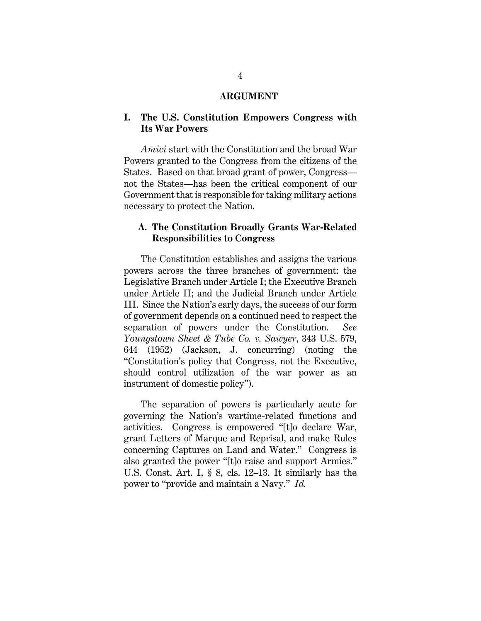#### **ARGUMENT**

#### **I. The U.S. Constitution Empowers Congress with Its War Powers**

*Amici* start with the Constitution and the broad War Powers granted to the Congress from the citizens of the States. Based on that broad grant of power, Congress not the States—has been the critical component of our Government that is responsible for taking military actions necessary to protect the Nation.

#### **A. The Constitution Broadly Grants War-Related Responsibilities to Congress**

The Constitution establishes and assigns the various powers across the three branches of government: the Legislative Branch under Article I; the Executive Branch under Article II; and the Judicial Branch under Article III. Since the Nation's early days, the success of our form of government depends on a continued need to respect the separation of powers under the Constitution. *See Youngstown Sheet & Tube Co. v. Sawyer*, 343 U.S. 579, 644 (1952) (Jackson, J. concurring) (noting the "Constitution's policy that Congress, not the Executive, should control utilization of the war power as an instrument of domestic policy").

The separation of powers is particularly acute for governing the Nation's wartime-related functions and activities. Congress is empowered "[t]o declare War, grant Letters of Marque and Reprisal, and make Rules concerning Captures on Land and Water." Congress is also granted the power "[t]o raise and support Armies." U.S. Const. Art. I, § 8, cls. 12–13. It similarly has the power to "provide and maintain a Navy." *Id.*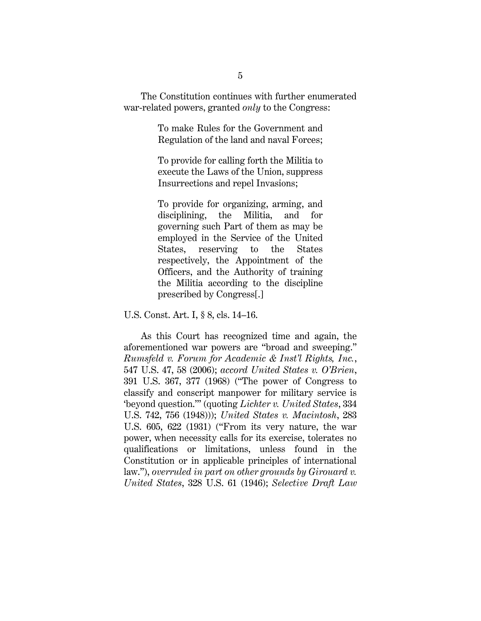The Constitution continues with further enumerated war-related powers, granted *only* to the Congress:

> To make Rules for the Government and Regulation of the land and naval Forces;

> To provide for calling forth the Militia to execute the Laws of the Union, suppress Insurrections and repel Invasions;

> To provide for organizing, arming, and disciplining, the Militia, and for governing such Part of them as may be employed in the Service of the United States, reserving to the States respectively, the Appointment of the Officers, and the Authority of training the Militia according to the discipline prescribed by Congress[.]

U.S. Const. Art. I, § 8, cls. 14–16.

As this Court has recognized time and again, the aforementioned war powers are "broad and sweeping." *Rumsfeld v. Forum for Academic & Inst'l Rights, Inc.*, 547 U.S. 47, 58 (2006); *accord United States v. O'Brien*, 391 U.S. 367, 377 (1968) ("The power of Congress to classify and conscript manpower for military service is 'beyond question.'" (quoting *Lichter v. United States*, 334 U.S. 742, 756 (1948))); *United States v. Macintosh*, 283 U.S. 605, 622 (1931) ("From its very nature, the war power, when necessity calls for its exercise, tolerates no qualifications or limitations, unless found in the Constitution or in applicable principles of international law."), *overruled in part on other grounds by Girouard v. United States*, 328 U.S. 61 (1946); *Selective Draft Law*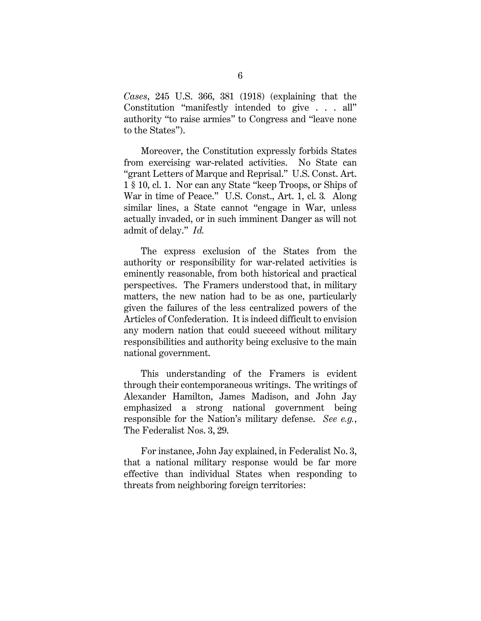*Cases*, 245 U.S. 366, 381 (1918) (explaining that the Constitution "manifestly intended to give . . . all" authority "to raise armies" to Congress and "leave none to the States").

Moreover, the Constitution expressly forbids States from exercising war-related activities. No State can "grant Letters of Marque and Reprisal." U.S. Const. Art. 1 § 10, cl. 1. Nor can any State "keep Troops, or Ships of War in time of Peace." U.S. Const., Art. 1, cl. 3*.* Along similar lines, a State cannot "engage in War, unless actually invaded, or in such imminent Danger as will not admit of delay." *Id.*

The express exclusion of the States from the authority or responsibility for war-related activities is eminently reasonable, from both historical and practical perspectives. The Framers understood that, in military matters, the new nation had to be as one, particularly given the failures of the less centralized powers of the Articles of Confederation. It is indeed difficult to envision any modern nation that could succeed without military responsibilities and authority being exclusive to the main national government.

This understanding of the Framers is evident through their contemporaneous writings. The writings of Alexander Hamilton, James Madison, and John Jay emphasized a strong national government being responsible for the Nation's military defense. *See e.g.*, The Federalist Nos. 3, 29.

For instance, John Jay explained, in Federalist No. 3, that a national military response would be far more effective than individual States when responding to threats from neighboring foreign territories: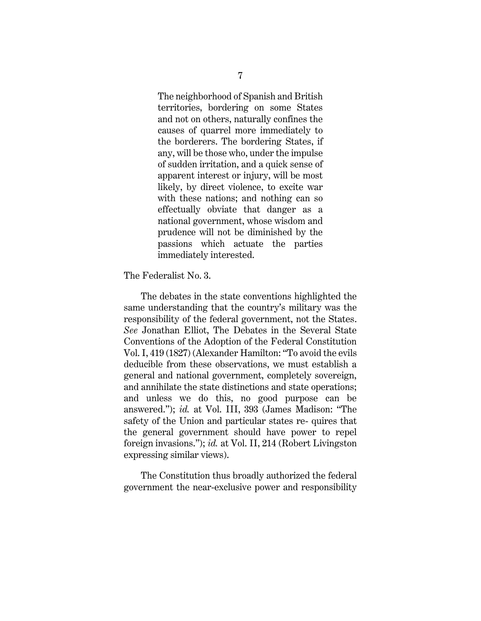The neighborhood of Spanish and British territories, bordering on some States and not on others, naturally confines the causes of quarrel more immediately to the borderers. The bordering States, if any, will be those who, under the impulse of sudden irritation, and a quick sense of apparent interest or injury, will be most likely, by direct violence, to excite war with these nations; and nothing can so effectually obviate that danger as a national government, whose wisdom and prudence will not be diminished by the passions which actuate the parties immediately interested.

The Federalist No. 3.

The debates in the state conventions highlighted the same understanding that the country's military was the responsibility of the federal government, not the States. *See* Jonathan Elliot, The Debates in the Several State Conventions of the Adoption of the Federal Constitution Vol. I, 419 (1827) (Alexander Hamilton: "To avoid the evils deducible from these observations, we must establish a general and national government, completely sovereign, and annihilate the state distinctions and state operations; and unless we do this, no good purpose can be answered."); *id.* at Vol. III, 393 (James Madison: "The safety of the Union and particular states re- quires that the general government should have power to repel foreign invasions."); *id.* at Vol. II, 214 (Robert Livingston expressing similar views).

The Constitution thus broadly authorized the federal government the near-exclusive power and responsibility

7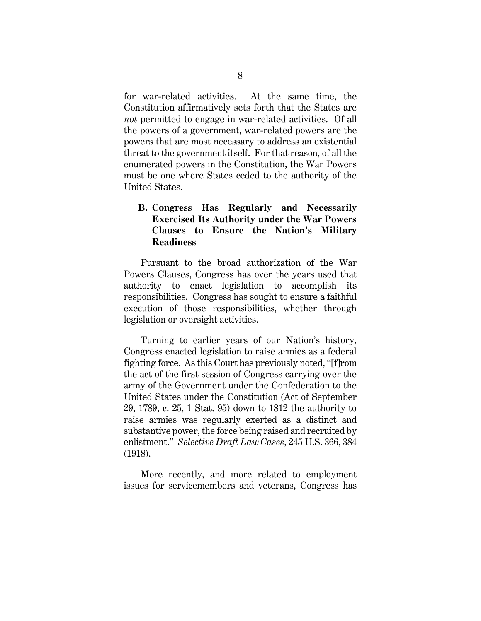for war-related activities. At the same time, the Constitution affirmatively sets forth that the States are *not* permitted to engage in war-related activities. Of all the powers of a government, war-related powers are the powers that are most necessary to address an existential threat to the government itself. For that reason, of all the enumerated powers in the Constitution, the War Powers must be one where States ceded to the authority of the United States.

### **B. Congress Has Regularly and Necessarily Exercised Its Authority under the War Powers Clauses to Ensure the Nation's Military Readiness**

Pursuant to the broad authorization of the War Powers Clauses, Congress has over the years used that authority to enact legislation to accomplish its responsibilities. Congress has sought to ensure a faithful execution of those responsibilities, whether through legislation or oversight activities.

Turning to earlier years of our Nation's history, Congress enacted legislation to raise armies as a federal fighting force. As this Court has previously noted, "[f]rom the act of the first session of Congress carrying over the army of the Government under the Confederation to the United States under the Constitution (Act of September 29, 1789, c. 25, 1 Stat. 95) down to 1812 the authority to raise armies was regularly exerted as a distinct and substantive power, the force being raised and recruited by enlistment." *Selective Draft Law Cases*, 245 U.S. 366, 384 (1918).

More recently, and more related to employment issues for servicemembers and veterans, Congress has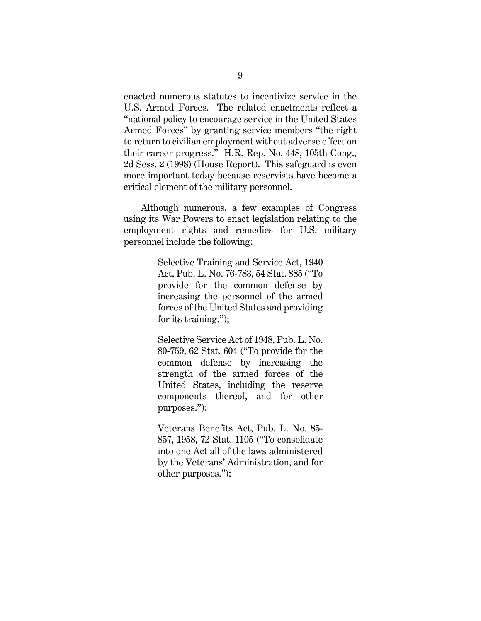enacted numerous statutes to incentivize service in the U.S. Armed Forces. The related enactments reflect a "national policy to encourage service in the United States Armed Forces" by granting service members "the right to return to civilian employment without adverse effect on their career progress." H.R. Rep. No. 448, 105th Cong., 2d Sess. 2 (1998) (House Report). This safeguard is even more important today because reservists have become a critical element of the military personnel.

Although numerous, a few examples of Congress using its War Powers to enact legislation relating to the employment rights and remedies for U.S. military personnel include the following:

> Selective Training and Service Act, 1940 Act, Pub. L. No. 76-783, 54 Stat. 885 ("To provide for the common defense by increasing the personnel of the armed forces of the United States and providing for its training.");

> Selective Service Act of 1948, Pub. L. No. 80-759, 62 Stat. 604 ("To provide for the common defense by increasing the strength of the armed forces of the United States, including the reserve components thereof, and for other purposes.");

> Veterans Benefits Act, Pub. L. No. 85- 857, 1958, 72 Stat. 1105 ("To consolidate into one Act all of the laws administered by the Veterans' Administration, and for other purposes.");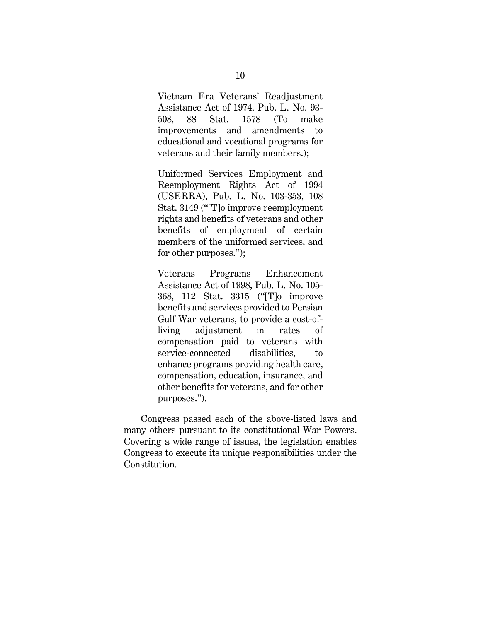Vietnam Era Veterans' Readjustment Assistance Act of 1974, Pub. L. No. 93- 508, 88 Stat. 1578 (To make improvements and amendments to educational and vocational programs for veterans and their family members.);

Uniformed Services Employment and Reemployment Rights Act of 1994 (USERRA), Pub. L. No. 103-353, 108 Stat. 3149 ("[T]o improve reemployment rights and benefits of veterans and other benefits of employment of certain members of the uniformed services, and for other purposes.");

Veterans Programs Enhancement Assistance Act of 1998, Pub. L. No. 105- 368, 112 Stat. 3315 ("[T]o improve benefits and services provided to Persian Gulf War veterans, to provide a cost-ofliving adjustment in rates of compensation paid to veterans with service-connected disabilities, to enhance programs providing health care, compensation, education, insurance, and other benefits for veterans, and for other purposes.").

Congress passed each of the above-listed laws and many others pursuant to its constitutional War Powers. Covering a wide range of issues, the legislation enables Congress to execute its unique responsibilities under the Constitution.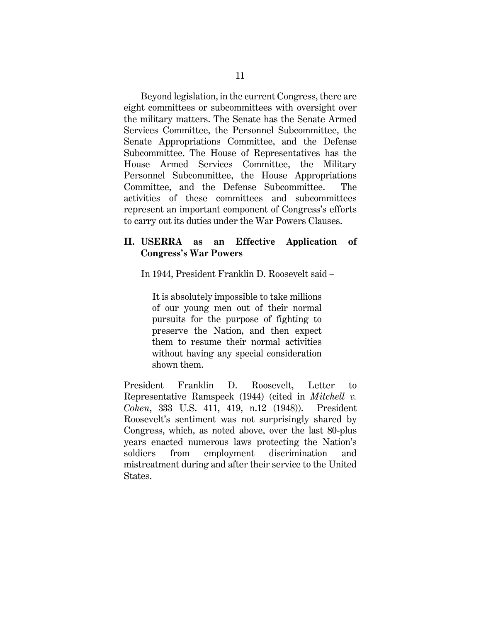Beyond legislation, in the current Congress, there are eight committees or subcommittees with oversight over the military matters. The Senate has the Senate Armed Services Committee, the Personnel Subcommittee, the Senate Appropriations Committee, and the Defense Subcommittee. The House of Representatives has the House Armed Services Committee, the Military Personnel Subcommittee, the House Appropriations Committee, and the Defense Subcommittee. The activities of these committees and subcommittees represent an important component of Congress's efforts to carry out its duties under the War Powers Clauses.

#### **II. USERRA as an Effective Application of Congress's War Powers**

In 1944, President Franklin D. Roosevelt said –

It is absolutely impossible to take millions of our young men out of their normal pursuits for the purpose of fighting to preserve the Nation, and then expect them to resume their normal activities without having any special consideration shown them.

President Franklin D. Roosevelt, Letter to Representative Ramspeck (1944) (cited in *Mitchell v. Cohen*, 333 U.S. 411, 419, n.12 (1948)). President Roosevelt's sentiment was not surprisingly shared by Congress, which, as noted above, over the last 80-plus years enacted numerous laws protecting the Nation's soldiers from employment discrimination and mistreatment during and after their service to the United States.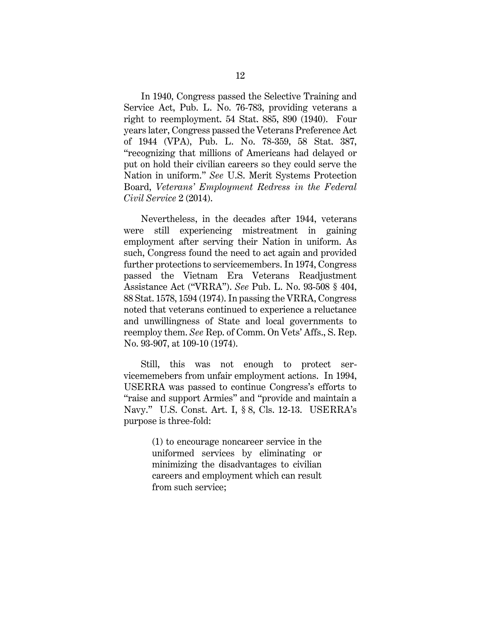In 1940, Congress passed the Selective Training and Service Act, Pub. L. No. 76-783, providing veterans a right to reemployment. 54 Stat. 885, 890 (1940). Four years later, Congress passed the Veterans Preference Act of 1944 (VPA), Pub. L. No. 78-359, 58 Stat. 387, "recognizing that millions of Americans had delayed or put on hold their civilian careers so they could serve the Nation in uniform." *See* U.S. Merit Systems Protection Board, *Veterans' Employment Redress in the Federal Civil Service* 2 (2014).

Nevertheless, in the decades after 1944, veterans were still experiencing mistreatment in gaining employment after serving their Nation in uniform. As such, Congress found the need to act again and provided further protections to servicemembers. In 1974, Congress passed the Vietnam Era Veterans Readjustment Assistance Act ("VRRA"). *See* Pub. L. No. 93-508 § 404, 88 Stat. 1578, 1594 (1974). In passing the VRRA, Congress noted that veterans continued to experience a reluctance and unwillingness of State and local governments to reemploy them. *See* Rep. of Comm. On Vets' Affs., S. Rep. No. 93-907, at 109-10 (1974).

Still, this was not enough to protect servicememebers from unfair employment actions. In 1994, USERRA was passed to continue Congress's efforts to "raise and support Armies" and "provide and maintain a Navy." U.S. Const. Art. I, § 8, Cls. 12-13. USERRA's purpose is three-fold:

> (1) to encourage noncareer service in the uniformed services by eliminating or minimizing the disadvantages to civilian careers and employment which can result from such service;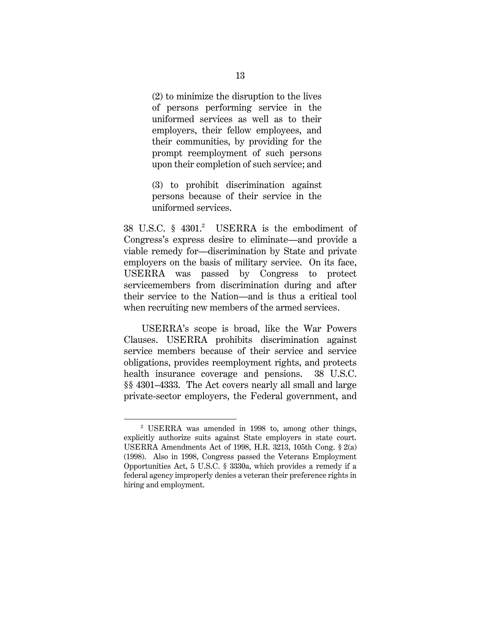(2) to minimize the disruption to the lives of persons performing service in the uniformed services as well as to their employers, their fellow employees, and their communities, by providing for the prompt reemployment of such persons upon their completion of such service; and

(3) to prohibit discrimination against persons because of their service in the uniformed services.

38 U.S.C. § 4301.<sup>2</sup> USERRA is the embodiment of Congress's express desire to eliminate—and provide a viable remedy for—discrimination by State and private employers on the basis of military service. On its face, USERRA was passed by Congress to protect servicemembers from discrimination during and after their service to the Nation—and is thus a critical tool when recruiting new members of the armed services.

USERRA's scope is broad, like the War Powers Clauses. USERRA prohibits discrimination against service members because of their service and service obligations, provides reemployment rights, and protects health insurance coverage and pensions. 38 U.S.C. §§ 4301–4333. The Act covers nearly all small and large private-sector employers, the Federal government, and

<sup>2</sup> USERRA was amended in 1998 to, among other things, explicitly authorize suits against State employers in state court. USERRA Amendments Act of 1998, H.R. 3213, 105th Cong. § 2(a) (1998). Also in 1998, Congress passed the Veterans Employment Opportunities Act, 5 U.S.C. § 3330a, which provides a remedy if a federal agency improperly denies a veteran their preference rights in hiring and employment.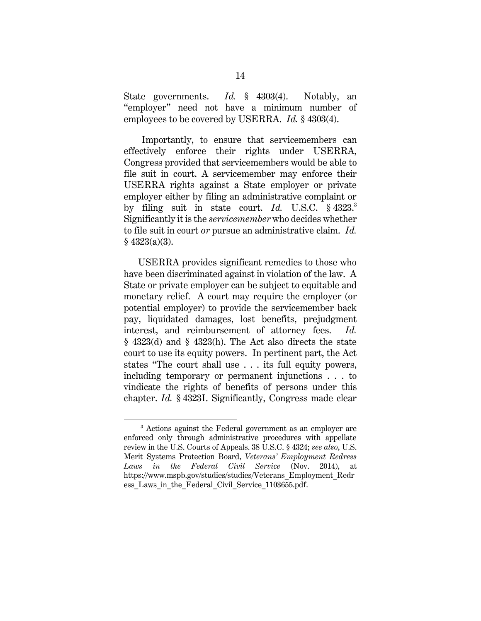State governments. *Id.* § 4303(4). Notably, an "employer" need not have a minimum number of employees to be covered by USERRA. *Id.* § 4303(4).

Importantly, to ensure that servicemembers can effectively enforce their rights under USERRA, Congress provided that servicemembers would be able to file suit in court. A servicemember may enforce their USERRA rights against a State employer or private employer either by filing an administrative complaint or by filing suit in state court. *Id.* U.S.C. § 4323.<sup>3</sup> Significantly it is the *servicemember* who decides whether to file suit in court *or* pursue an administrative claim. *Id.*   $§$  4323(a)(3).

USERRA provides significant remedies to those who have been discriminated against in violation of the law. A State or private employer can be subject to equitable and monetary relief. A court may require the employer (or potential employer) to provide the servicemember back pay, liquidated damages, lost benefits, prejudgment interest, and reimbursement of attorney fees. *Id.*  § 4323(d) and § 4323(h). The Act also directs the state court to use its equity powers. In pertinent part, the Act states "The court shall use . . . its full equity powers, including temporary or permanent injunctions . . . to vindicate the rights of benefits of persons under this chapter. *Id.* § 4323I. Significantly, Congress made clear

<sup>3</sup> Actions against the Federal government as an employer are enforced only through administrative procedures with appellate review in the U.S. Courts of Appeals. 38 U.S.C. § 4324; *see also*, U.S. Merit Systems Protection Board, *Veterans' Employment Redress Laws in the Federal Civil Service* (Nov. 2014), at https://www.mspb.gov/studies/studies/Veterans\_Employment\_Redr ess Laws in the Federal Civil Service 1103655.pdf.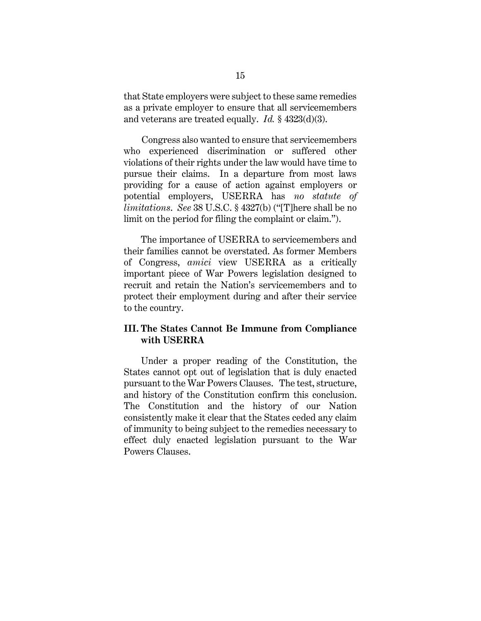that State employers were subject to these same remedies as a private employer to ensure that all servicemembers and veterans are treated equally. *Id.* § 4323(d)(3).

Congress also wanted to ensure that servicemembers who experienced discrimination or suffered other violations of their rights under the law would have time to pursue their claims. In a departure from most laws providing for a cause of action against employers or potential employers, USERRA has *no statute of limitations*. *See* 38 U.S.C. § 4327(b) ("[T]here shall be no limit on the period for filing the complaint or claim.").

The importance of USERRA to servicemembers and their families cannot be overstated. As former Members of Congress, *amici* view USERRA as a critically important piece of War Powers legislation designed to recruit and retain the Nation's servicemembers and to protect their employment during and after their service to the country.

### **III. The States Cannot Be Immune from Compliance with USERRA**

Under a proper reading of the Constitution, the States cannot opt out of legislation that is duly enacted pursuant to the War Powers Clauses. The test, structure, and history of the Constitution confirm this conclusion. The Constitution and the history of our Nation consistently make it clear that the States ceded any claim of immunity to being subject to the remedies necessary to effect duly enacted legislation pursuant to the War Powers Clauses.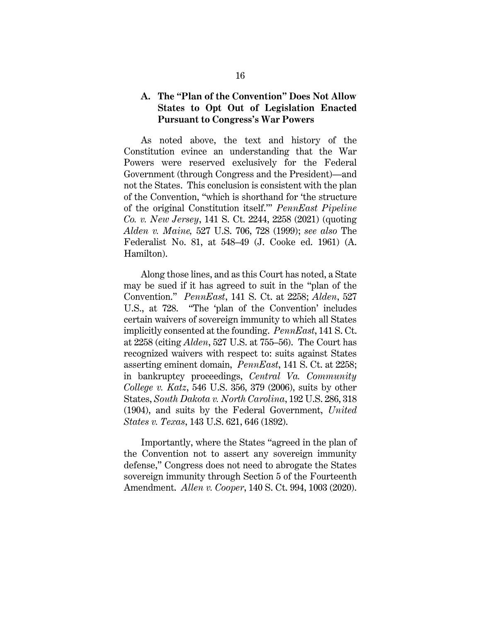#### **A. The "Plan of the Convention" Does Not Allow States to Opt Out of Legislation Enacted Pursuant to Congress's War Powers**

As noted above, the text and history of the Constitution evince an understanding that the War Powers were reserved exclusively for the Federal Government (through Congress and the President)—and not the States. This conclusion is consistent with the plan of the Convention, "which is shorthand for 'the structure of the original Constitution itself.'" *PennEast Pipeline Co. v. New Jersey*, 141 S. Ct. 2244, 2258 (2021) (quoting *Alden v. Maine,* 527 U.S. 706, 728 (1999); *see also* The Federalist No. 81, at 548–49 (J. Cooke ed. 1961) (A. Hamilton).

Along those lines, and as this Court has noted, a State may be sued if it has agreed to suit in the "plan of the Convention." *PennEast*, 141 S. Ct. at 2258; *Alden*, 527 U.S., at 728. "The 'plan of the Convention' includes certain waivers of sovereign immunity to which all States implicitly consented at the founding. *PennEast*, 141 S. Ct. at 2258 (citing *Alden*, 527 U.S. at 755–56). The Court has recognized waivers with respect to: suits against States asserting eminent domain, *PennEast*, 141 S. Ct. at 2258; in bankruptcy proceedings, *Central Va. Community College v. Katz*, 546 U.S. 356, 379 (2006), suits by other States, *South Dakota v. North Carolina*, 192 U.S. 286, 318 (1904), and suits by the Federal Government, *United States v. Texas*, 143 U.S. 621, 646 (1892).

Importantly, where the States "agreed in the plan of the Convention not to assert any sovereign immunity defense," Congress does not need to abrogate the States sovereign immunity through Section 5 of the Fourteenth Amendment. *Allen v. Cooper*, 140 S. Ct. 994, 1003 (2020).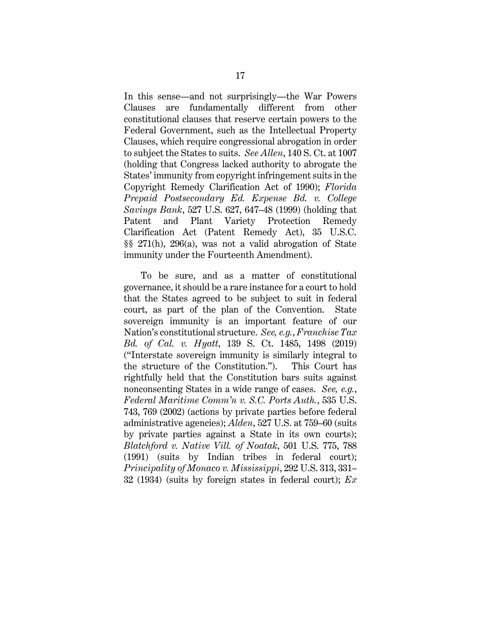In this sense—and not surprisingly—the War Powers Clauses are fundamentally different from other constitutional clauses that reserve certain powers to the Federal Government, such as the Intellectual Property Clauses, which require congressional abrogation in order to subject the States to suits. *See Allen*, 140 S. Ct. at 1007 (holding that Congress lacked authority to abrogate the States' immunity from copyright infringement suits in the Copyright Remedy Clarification Act of 1990); *Florida Prepaid Postsecondary Ed. Expense Bd. v. College Savings Bank*, 527 U.S. 627, 647–48 (1999) (holding that Patent and Plant Variety Protection Remedy Clarification Act (Patent Remedy Act), 35 U.S.C. §§ 271(h), 296(a), was not a valid abrogation of State immunity under the Fourteenth Amendment).

To be sure, and as a matter of constitutional governance, it should be a rare instance for a court to hold that the States agreed to be subject to suit in federal court, as part of the plan of the Convention. State sovereign immunity is an important feature of our Nation's constitutional structure. *See, e.g.*, *Franchise Tax Bd. of Cal. v. Hyatt*, 139 S. Ct. 1485, 1498 (2019) ("Interstate sovereign immunity is similarly integral to the structure of the Constitution."). This Court has rightfully held that the Constitution bars suits against nonconsenting States in a wide range of cases. *See, e.g.*, *Federal Maritime Comm'n v. S.C. Ports Auth.*, 535 U.S. 743, 769 (2002) (actions by private parties before federal administrative agencies); *Alden*, 527 U.S. at 759–60 (suits by private parties against a State in its own courts); *Blatchford v. Native Vill. of Noatak*, 501 U.S. 775, 788 (1991) (suits by Indian tribes in federal court); *Principality of Monaco v. Mississippi*, 292 U.S. 313, 331– 32 (1934) (suits by foreign states in federal court); *Ex*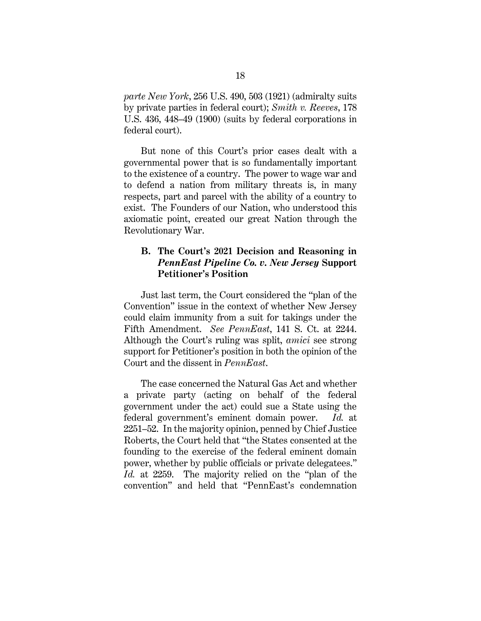*parte New York*, 256 U.S. 490, 503 (1921) (admiralty suits by private parties in federal court); *Smith v. Reeves*, 178 U.S. 436, 448–49 (1900) (suits by federal corporations in federal court).

But none of this Court's prior cases dealt with a governmental power that is so fundamentally important to the existence of a country. The power to wage war and to defend a nation from military threats is, in many respects, part and parcel with the ability of a country to exist. The Founders of our Nation, who understood this axiomatic point, created our great Nation through the Revolutionary War.

### **B. The Court's 2021 Decision and Reasoning in**  *PennEast Pipeline Co. v. New Jersey* **Support Petitioner's Position**

Just last term, the Court considered the "plan of the Convention" issue in the context of whether New Jersey could claim immunity from a suit for takings under the Fifth Amendment. *See PennEast*, 141 S. Ct. at 2244. Although the Court's ruling was split, *amici* see strong support for Petitioner's position in both the opinion of the Court and the dissent in *PennEast*.

The case concerned the Natural Gas Act and whether a private party (acting on behalf of the federal government under the act) could sue a State using the federal government's eminent domain power. *Id.* at 2251–52. In the majority opinion, penned by Chief Justice Roberts, the Court held that "the States consented at the founding to the exercise of the federal eminent domain power, whether by public officials or private delegatees." *Id.* at 2259. The majority relied on the "plan of the convention" and held that "PennEast's condemnation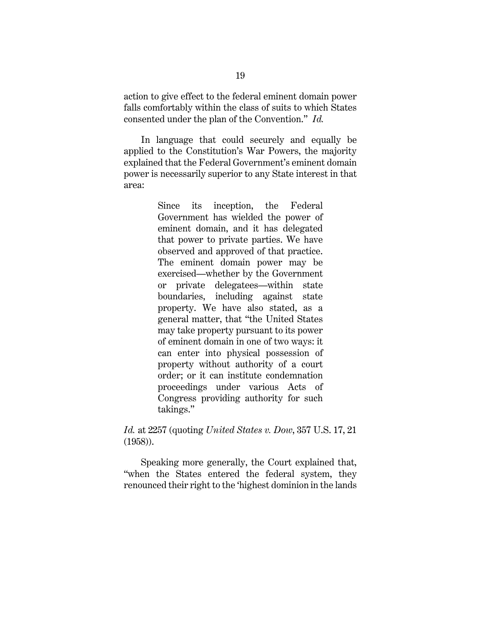action to give effect to the federal eminent domain power falls comfortably within the class of suits to which States consented under the plan of the Convention." *Id.*

In language that could securely and equally be applied to the Constitution's War Powers, the majority explained that the Federal Government's eminent domain power is necessarily superior to any State interest in that area:

> Since its inception, the Federal Government has wielded the power of eminent domain, and it has delegated that power to private parties. We have observed and approved of that practice. The eminent domain power may be exercised—whether by the Government or private delegatees—within state boundaries, including against state property. We have also stated, as a general matter, that "the United States may take property pursuant to its power of eminent domain in one of two ways: it can enter into physical possession of property without authority of a court order; or it can institute condemnation proceedings under various Acts of Congress providing authority for such takings."

*Id.* at 2257 (quoting *United States v. Dow*, 357 U.S. 17, 21 (1958)).

Speaking more generally, the Court explained that, "when the States entered the federal system, they renounced their right to the 'highest dominion in the lands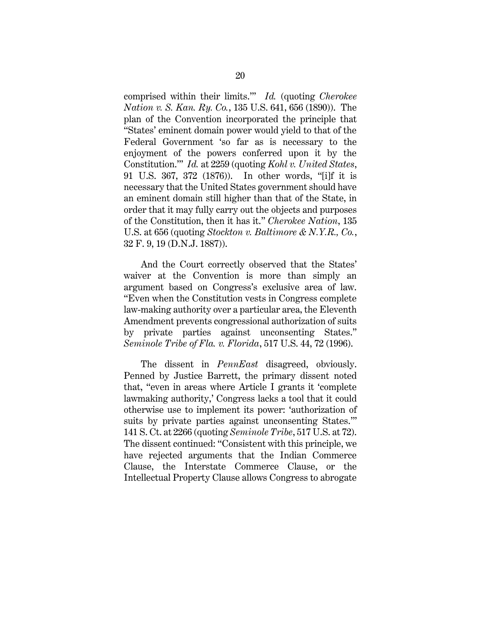comprised within their limits.'" *Id.* (quoting *Cherokee Nation v. S. Kan. Ry. Co.*, 135 U.S. 641, 656 (1890)). The plan of the Convention incorporated the principle that "States' eminent domain power would yield to that of the Federal Government 'so far as is necessary to the enjoyment of the powers conferred upon it by the Constitution.'" *Id.* at 2259 (quoting *Kohl v. United States*, 91 U.S. 367, 372 (1876)). In other words, "[i]f it is necessary that the United States government should have an eminent domain still higher than that of the State, in order that it may fully carry out the objects and purposes of the Constitution, then it has it." *Cherokee Nation*, 135 U.S. at 656 (quoting *Stockton v. Baltimore & N.Y.R., Co.*, 32 F. 9, 19 (D.N.J. 1887)).

And the Court correctly observed that the States' waiver at the Convention is more than simply an argument based on Congress's exclusive area of law. "Even when the Constitution vests in Congress complete law-making authority over a particular area, the Eleventh Amendment prevents congressional authorization of suits by private parties against unconsenting States." *Seminole Tribe of Fla. v. Florida*, 517 U.S. 44, 72 (1996).

The dissent in *PennEast* disagreed, obviously. Penned by Justice Barrett, the primary dissent noted that, "even in areas where Article I grants it 'complete lawmaking authority,' Congress lacks a tool that it could otherwise use to implement its power: 'authorization of suits by private parties against unconsenting States.'" 141 S. Ct. at 2266 (quoting *Seminole Tribe*, 517 U.S. at 72). The dissent continued: "Consistent with this principle, we have rejected arguments that the Indian Commerce Clause, the Interstate Commerce Clause, or the Intellectual Property Clause allows Congress to abrogate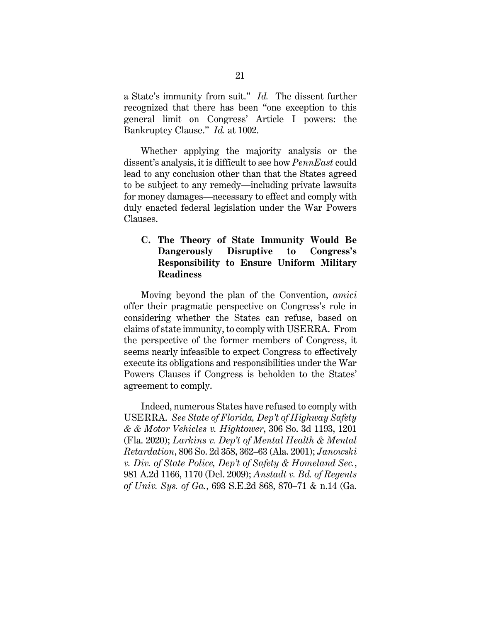a State's immunity from suit." *Id.* The dissent further recognized that there has been "one exception to this general limit on Congress' Article I powers: the Bankruptcy Clause." *Id.* at 1002.

Whether applying the majority analysis or the dissent's analysis, it is difficult to see how *PennEast* could lead to any conclusion other than that the States agreed to be subject to any remedy—including private lawsuits for money damages—necessary to effect and comply with duly enacted federal legislation under the War Powers Clauses.

### **C. The Theory of State Immunity Would Be Dangerously Disruptive to Congress's Responsibility to Ensure Uniform Military Readiness**

Moving beyond the plan of the Convention, *amici* offer their pragmatic perspective on Congress's role in considering whether the States can refuse, based on claims of state immunity, to comply with USERRA. From the perspective of the former members of Congress, it seems nearly infeasible to expect Congress to effectively execute its obligations and responsibilities under the War Powers Clauses if Congress is beholden to the States' agreement to comply.

Indeed, numerous States have refused to comply with USERRA. *See State of Florida, Dep't of Highway Safety & & Motor Vehicles v. Hightower*, 306 So. 3d 1193, 1201 (Fla. 2020); *Larkins v. Dep't of Mental Health & Mental Retardation*, 806 So. 2d 358, 362–63 (Ala. 2001); *Janowski v. Div. of State Police, Dep't of Safety & Homeland Sec.*, 981 A.2d 1166, 1170 (Del. 2009); *Anstadt v. Bd. of Regents of Univ. Sys. of Ga.*, 693 S.E.2d 868, 870–71 & n.14 (Ga.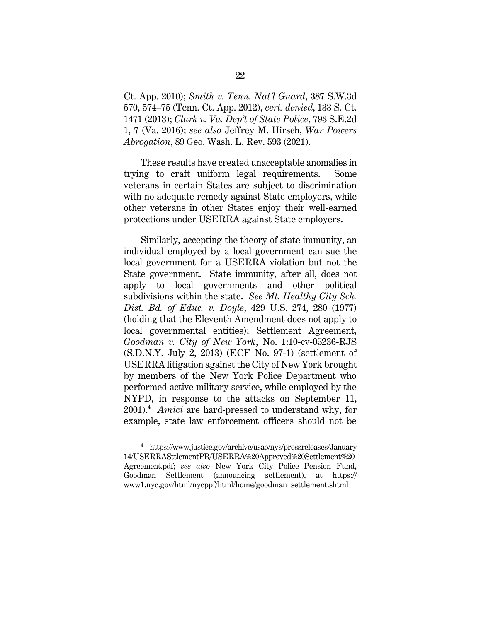Ct. App. 2010); *Smith v. Tenn. Nat'l Guard*, 387 S.W.3d 570, 574–75 (Tenn. Ct. App. 2012), *cert. denied*, 133 S. Ct. 1471 (2013); *Clark v. Va. Dep't of State Police*, 793 S.E.2d 1, 7 (Va. 2016); *see also* Jeffrey M. Hirsch, *War Powers Abrogation*, 89 Geo. Wash. L. Rev. 593 (2021).

These results have created unacceptable anomalies in trying to craft uniform legal requirements. Some veterans in certain States are subject to discrimination with no adequate remedy against State employers, while other veterans in other States enjoy their well-earned protections under USERRA against State employers.

Similarly, accepting the theory of state immunity, an individual employed by a local government can sue the local government for a USERRA violation but not the State government. State immunity, after all, does not apply to local governments and other political subdivisions within the state. *See Mt. Healthy City Sch. Dist. Bd. of Educ. v. Doyle*, 429 U.S. 274, 280 (1977) (holding that the Eleventh Amendment does not apply to local governmental entities); Settlement Agreement, *Goodman v. City of New York*, No. 1:10-cv-05236-RJS (S.D.N.Y. July 2, 2013) (ECF No. 97-1) (settlement of USERRA litigation against the City of New York brought by members of the New York Police Department who performed active military service, while employed by the NYPD, in response to the attacks on September 11, 2001). 4 *Amici* are hard-pressed to understand why, for example, state law enforcement officers should not be

<sup>4</sup> https://www.justice.gov/archive/usao/nys/pressreleases/January 14/USERRASttlementPR/USERRA%20Approved%20Settlement%20 Agreement.pdf; *see also* New York City Police Pension Fund, Goodman Settlement (announcing settlement), at https:// www1.nyc.gov/html/nycppf/html/home/goodman\_settlement.shtml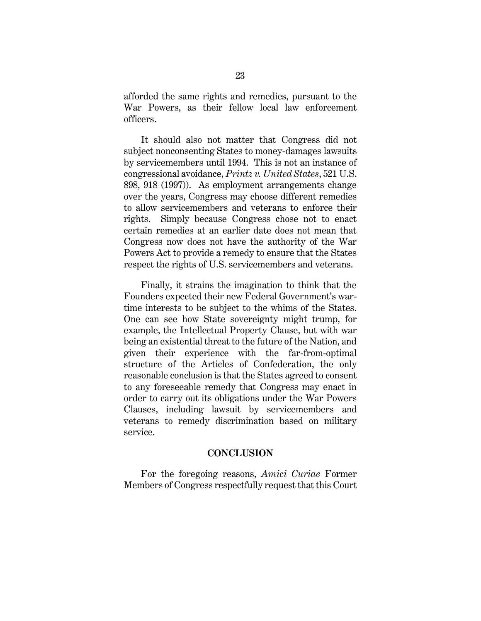afforded the same rights and remedies, pursuant to the War Powers, as their fellow local law enforcement officers.

It should also not matter that Congress did not subject nonconsenting States to money-damages lawsuits by servicemembers until 1994. This is not an instance of congressional avoidance, *Printz v. United States*, 521 U.S. 898, 918 (1997)). As employment arrangements change over the years, Congress may choose different remedies to allow servicemembers and veterans to enforce their rights. Simply because Congress chose not to enact certain remedies at an earlier date does not mean that Congress now does not have the authority of the War Powers Act to provide a remedy to ensure that the States respect the rights of U.S. servicemembers and veterans.

Finally, it strains the imagination to think that the Founders expected their new Federal Government's wartime interests to be subject to the whims of the States. One can see how State sovereignty might trump, for example, the Intellectual Property Clause, but with war being an existential threat to the future of the Nation, and given their experience with the far-from-optimal structure of the Articles of Confederation, the only reasonable conclusion is that the States agreed to consent to any foreseeable remedy that Congress may enact in order to carry out its obligations under the War Powers Clauses, including lawsuit by servicemembers and veterans to remedy discrimination based on military service.

#### **CONCLUSION**

For the foregoing reasons, *Amici Curiae* Former Members of Congress respectfully request that this Court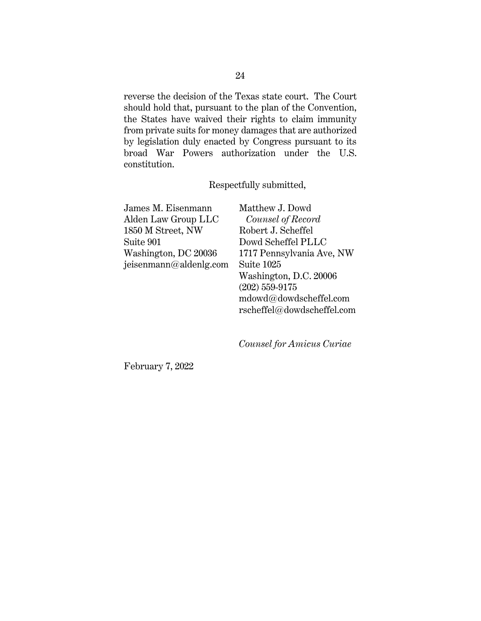reverse the decision of the Texas state court. The Court should hold that, pursuant to the plan of the Convention, the States have waived their rights to claim immunity from private suits for money damages that are authorized by legislation duly enacted by Congress pursuant to its broad War Powers authorization under the U.S. constitution.

Respectfully submitted,

James M. Eisenmann Alden Law Group LLC 1850 M Street, NW Suite 901 Washington, DC 20036 jeisenmann@aldenlg.com Matthew J. Dowd  *Counsel of Record* Robert J. Scheffel Dowd Scheffel PLLC 1717 Pennsylvania Ave, NW Suite 1025 Washington, D.C. 20006 (202) 559-9175 mdowd@dowdscheffel.com rscheffel@dowdscheffel.com

*Counsel for Amicus Curiae*

February 7, 2022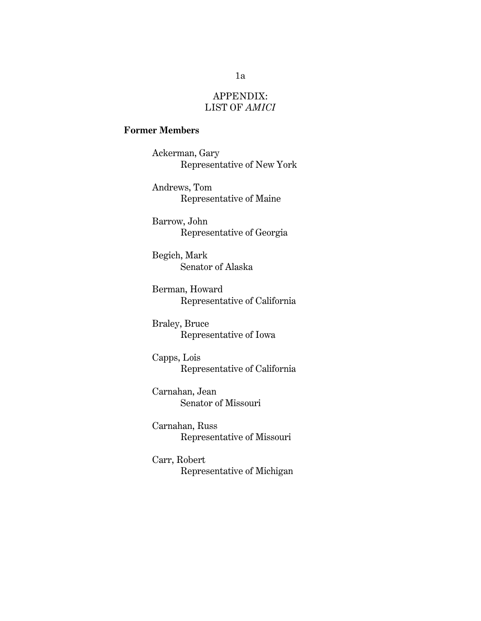### APPENDIX: LIST OF *AMICI*

### **Former Members**

Ackerman, Gary Representative of New York

Andrews, Tom Representative of Maine

Barrow, John Representative of Georgia

Begich, Mark Senator of Alaska

Berman, Howard Representative of California

Braley, Bruce Representative of Iowa

Capps, Lois Representative of California

Carnahan, Jean Senator of Missouri

Carnahan, Russ Representative of Missouri

Carr, Robert Representative of Michigan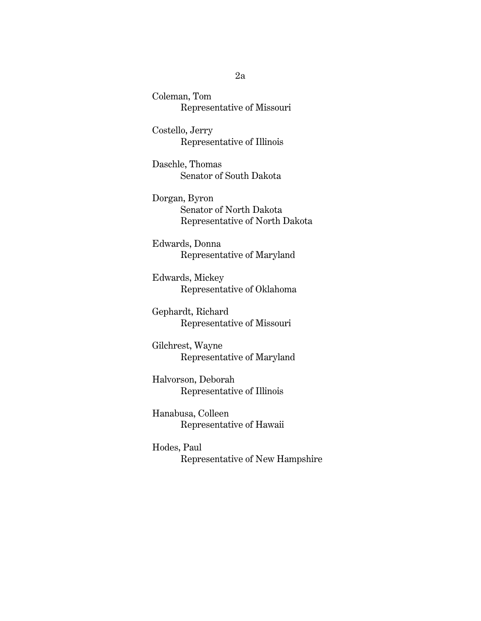Coleman, Tom Representative of Missouri

Costello, Jerry Representative of Illinois

Daschle, Thomas Senator of South Dakota

Dorgan, Byron Senator of North Dakota Representative of North Dakota

Edwards, Donna Representative of Maryland

Edwards, Mickey Representative of Oklahoma

Gephardt, Richard Representative of Missouri

Gilchrest, Wayne Representative of Maryland

Halvorson, Deborah Representative of Illinois

Hanabusa, Colleen Representative of Hawaii

Hodes, Paul Representative of New Hampshire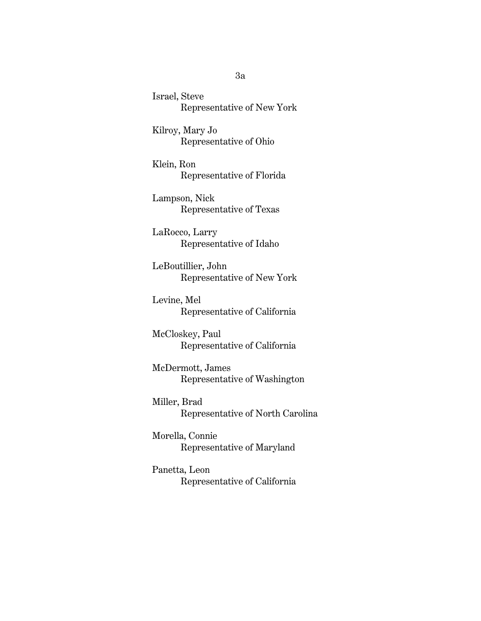Israel, Steve Representative of New York

Kilroy, Mary Jo Representative of Ohio

Klein, Ron Representative of Florida

Lampson, Nick Representative of Texas

LaRocco, Larry Representative of Idaho

LeBoutillier, John Representative of New York

Levine, Mel Representative of California

McCloskey, Paul Representative of California

McDermott, James Representative of Washington

Miller, Brad Representative of North Carolina

Morella, Connie Representative of Maryland

Panetta, Leon Representative of California